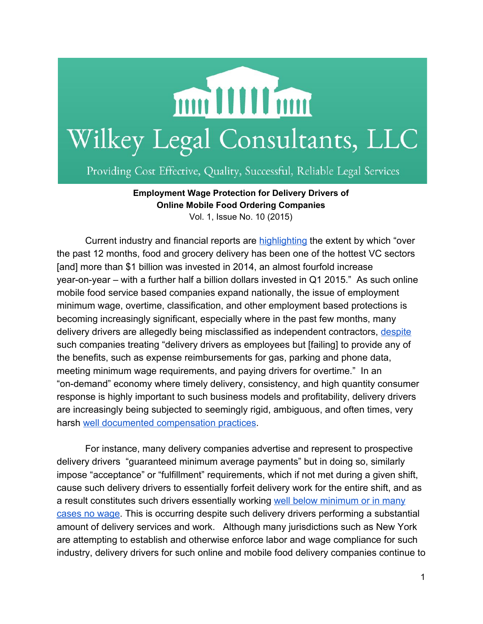

Providing Cost Effective, Quality, Successful, Reliable Legal Services

**Employment Wage Protection for Delivery Drivers of Online Mobile Food Ordering Companies** Vol. 1, Issue No. 10 (2015)

Current industry and financial reports are [highlighting](http://techcrunch.com/2015/07/11/the-billion-dollar-food-delivery-wars/) the extent by which "over the past 12 months, food and grocery delivery has been one of the hottest VC sectors [and] more than \$1 billion was invested in 2014, an almost fourfold increase year-on-year – with a further half a billion dollars invested in  $Q1$  2015." As such online mobile food service based companies expand nationally, the issue of employment minimum wage, overtime, classification, and other employment based protections is becoming increasingly significant, especially where in the past few months, many delivery drivers are allegedly being misclassified as independent contractors, [despite](http://www.latimes.com/business/technology/la-fi-tn-grubhub-caviar-lawsuit-20150923-story.html) such companies treating "delivery drivers as employees but [failing] to provide any of the benefits, such as expense reimbursements for gas, parking and phone data, meeting minimum wage requirements, and paying drivers for overtime." In an "on-demand" economy where timely delivery, consistency, and high quantity consumer response is highly important to such business models and profitability, delivery drivers are increasingly being subjected to seemingly rigid, ambiguous, and often times, very harsh well documented [compensation](http://www.dailydot.com/opinion/delivery-winter-storm-juno/) practices.

For instance, many delivery companies advertise and represent to prospective delivery drivers "guaranteed minimum average payments" but in doing so, similarly impose "acceptance" or "fulfillment" requirements, which if not met during a given shift, cause such delivery drivers to essentially forfeit delivery work for the entire shift, and as a result constitutes such drivers essentially working well below [minimum](http://www.dailydot.com/opinion/delivery-winter-storm-juno/) or in many [cases](http://www.dailydot.com/opinion/delivery-winter-storm-juno/) no wage. This is occurring despite such delivery drivers performing a substantial amount of delivery services and work. Although many jurisdictions such as New York are attempting to establish and otherwise enforce labor and wage compliance for such industry, delivery drivers for such online and mobile food delivery companies continue to